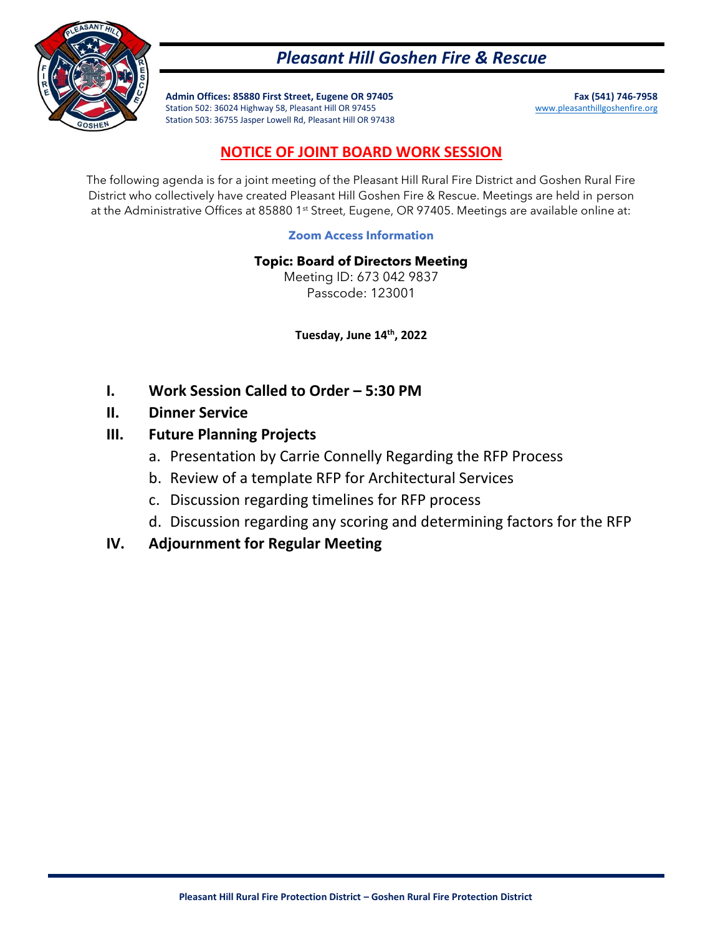

# *Pleasant Hill Goshen Fire & Rescue*

**Admin Offices: 85880 First Street, Eugene OR 97405 Fax (541) 746-7958** Station 502: 36024 Highway 58, Pleasant Hill OR 97455 Www.pleasanthillgoshenfire.org Station 503: 36755 Jasper Lowell Rd, Pleasant Hill OR 97438

## **NOTICE OF JOINT BOARD WORK SESSION**

The following agenda is for a joint meeting of the Pleasant Hill Rural Fire District and Goshen Rural Fire District who collectively have created Pleasant Hill Goshen Fire & Rescue. Meetings are held in person at the Administrative Offices at 85880 1<sup>st</sup> Street, Eugene, OR 97405. Meetings are available online at:

#### **Zoom Access Information**

**Topic: Board of Directors Meeting**

Meeting ID: 673 042 9837 Passcode: 123001

**Tuesday, June 14th, 2022**

- **I. Work Session Called to Order – 5:30 PM**
- **II. Dinner Service**

## **III. Future Planning Projects**

- a. Presentation by Carrie Connelly Regarding the RFP Process
- b. Review of a template RFP for Architectural Services
- c. Discussion regarding timelines for RFP process
- d. Discussion regarding any scoring and determining factors for the RFP

## **IV. Adjournment for Regular Meeting**